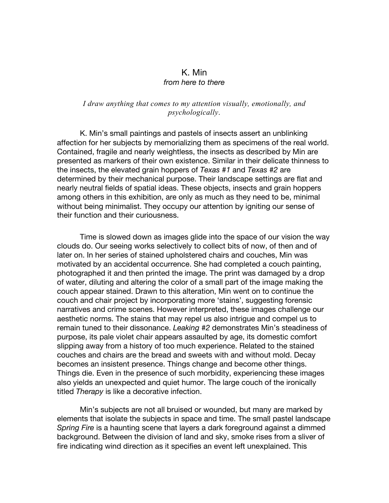## K. Min *from here to there*

## *I draw anything that comes to my attention visually, emotionally, and psychologically*.

K. Min's small paintings and pastels of insects assert an unblinking affection for her subjects by memorializing them as specimens of the real world. Contained, fragile and nearly weightless, the insects as described by Min are presented as markers of their own existence. Similar in their delicate thinness to the insects, the elevated grain hoppers of *Texas #1* and *Texas #2* are determined by their mechanical purpose. Their landscape settings are flat and nearly neutral fields of spatial ideas. These objects, insects and grain hoppers among others in this exhibition, are only as much as they need to be, minimal without being minimalist. They occupy our attention by igniting our sense of their function and their curiousness.

Time is slowed down as images glide into the space of our vision the way clouds do. Our seeing works selectively to collect bits of now, of then and of later on. In her series of stained upholstered chairs and couches, Min was motivated by an accidental occurrence. She had completed a couch painting, photographed it and then printed the image. The print was damaged by a drop of water, diluting and altering the color of a small part of the image making the couch appear stained. Drawn to this alteration, Min went on to continue the couch and chair project by incorporating more 'stains', suggesting forensic narratives and crime scenes. However interpreted, these images challenge our aesthetic norms. The stains that may repel us also intrigue and compel us to remain tuned to their dissonance. *Leaking #2* demonstrates Min's steadiness of purpose, its pale violet chair appears assaulted by age, its domestic comfort slipping away from a history of too much experience. Related to the stained couches and chairs are the bread and sweets with and without mold. Decay becomes an insistent presence. Things change and become other things. Things die. Even in the presence of such morbidity, experiencing these images also yields an unexpected and quiet humor. The large couch of the ironically titled *Therapy* is like a decorative infection.

Min's subjects are not all bruised or wounded, but many are marked by elements that isolate the subjects in space and time. The small pastel landscape *Spring Fire* is a haunting scene that layers a dark foreground against a dimmed background. Between the division of land and sky, smoke rises from a sliver of fire indicating wind direction as it specifies an event left unexplained. This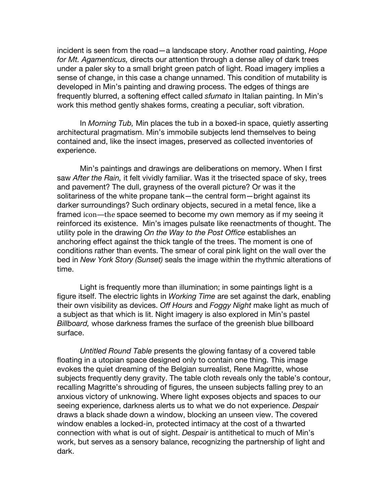incident is seen from the road—a landscape story. Another road painting, *Hope for Mt. Agamenticus,* directs our attention through a dense alley of dark trees under a paler sky to a small bright green patch of light. Road imagery implies a sense of change, in this case a change unnamed. This condition of mutability is developed in Min's painting and drawing process. The edges of things are frequently blurred, a softening effect called *sfumato* in Italian painting. In Min's work this method gently shakes forms, creating a peculiar, soft vibration.

In *Morning Tub,* Min places the tub in a boxed-in space, quietly asserting architectural pragmatism. Min's immobile subjects lend themselves to being contained and, like the insect images, preserved as collected inventories of experience.

Min's paintings and drawings are deliberations on memory. When I first saw *After the Rain,* it felt vividly familiar. Was it the trisected space of sky, trees and pavement? The dull, grayness of the overall picture? Or was it the solitariness of the white propane tank—the central form—bright against its darker surroundings? Such ordinary objects, secured in a metal fence, like a framed icon—the space seemed to become my own memory as if my seeing it reinforced its existence. Min's images pulsate like reenactments of thought. The utility pole in the drawing *On the Way to the Post Office* establishes an anchoring effect against the thick tangle of the trees. The moment is one of conditions rather than events. The smear of coral pink light on the wall over the bed in *New York Story (Sunset)* seals the image within the rhythmic alterations of time.

Light is frequently more than illumination; in some paintings light is a figure itself. The electric lights in *Working Time* are set against the dark, enabling their own visibility as devices. *Off Hours* and *Foggy Night* make light as much of a subject as that which is lit. Night imagery is also explored in Min's pastel *Billboard,* whose darkness frames the surface of the greenish blue billboard surface.

*Untitled Round Table* presents the glowing fantasy of a covered table floating in a utopian space designed only to contain one thing. This image evokes the quiet dreaming of the Belgian surrealist, Rene Magritte, whose subjects frequently deny gravity. The table cloth reveals only the table's contour, recalling Magritte's shrouding of figures, the unseen subjects falling prey to an anxious victory of unknowing. Where light exposes objects and spaces to our seeing experience, darkness alerts us to what we do not experience. *Despair* draws a black shade down a window, blocking an unseen view. The covered window enables a locked-in, protected intimacy at the cost of a thwarted connection with what is out of sight. *Despair* is antithetical to much of Min's work, but serves as a sensory balance, recognizing the partnership of light and dark.